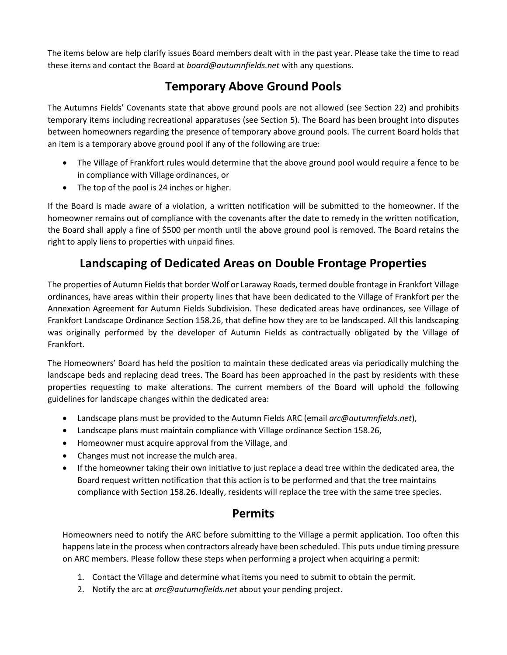The items below are help clarify issues Board members dealt with in the past year. Please take the time to read these items and contact the Board at *board@autumnfields.net* with any questions.

## **Temporary Above Ground Pools**

The Autumns Fields' Covenants state that above ground pools are not allowed (see Section 22) and prohibits temporary items including recreational apparatuses (see Section 5). The Board has been brought into disputes between homeowners regarding the presence of temporary above ground pools. The current Board holds that an item is a temporary above ground pool if any of the following are true:

- The Village of Frankfort rules would determine that the above ground pool would require a fence to be in compliance with Village ordinances, or
- The top of the pool is 24 inches or higher.

If the Board is made aware of a violation, a written notification will be submitted to the homeowner. If the homeowner remains out of compliance with the covenants after the date to remedy in the written notification, the Board shall apply a fine of \$500 per month until the above ground pool is removed. The Board retains the right to apply liens to properties with unpaid fines.

## **Landscaping of Dedicated Areas on Double Frontage Properties**

The properties of Autumn Fields that border Wolf or Laraway Roads, termed double frontage in Frankfort Village ordinances, have areas within their property lines that have been dedicated to the Village of Frankfort per the Annexation Agreement for Autumn Fields Subdivision. These dedicated areas have ordinances, see Village of Frankfort Landscape Ordinance Section 158.26, that define how they are to be landscaped. All this landscaping was originally performed by the developer of Autumn Fields as contractually obligated by the Village of Frankfort.

The Homeowners' Board has held the position to maintain these dedicated areas via periodically mulching the landscape beds and replacing dead trees. The Board has been approached in the past by residents with these properties requesting to make alterations. The current members of the Board will uphold the following guidelines for landscape changes within the dedicated area:

- Landscape plans must be provided to the Autumn Fields ARC (email *arc@autumnfields.net*),
- Landscape plans must maintain compliance with Village ordinance Section 158.26,
- Homeowner must acquire approval from the Village, and
- Changes must not increase the mulch area.
- If the homeowner taking their own initiative to just replace a dead tree within the dedicated area, the Board request written notification that this action is to be performed and that the tree maintains compliance with Section 158.26. Ideally, residents will replace the tree with the same tree species.

## **Permits**

Homeowners need to notify the ARC before submitting to the Village a permit application. Too often this happens late in the process when contractors already have been scheduled. This puts undue timing pressure on ARC members. Please follow these steps when performing a project when acquiring a permit:

- 1. Contact the Village and determine what items you need to submit to obtain the permit.
- 2. Notify the arc at *arc@autumnfields.net* about your pending project.